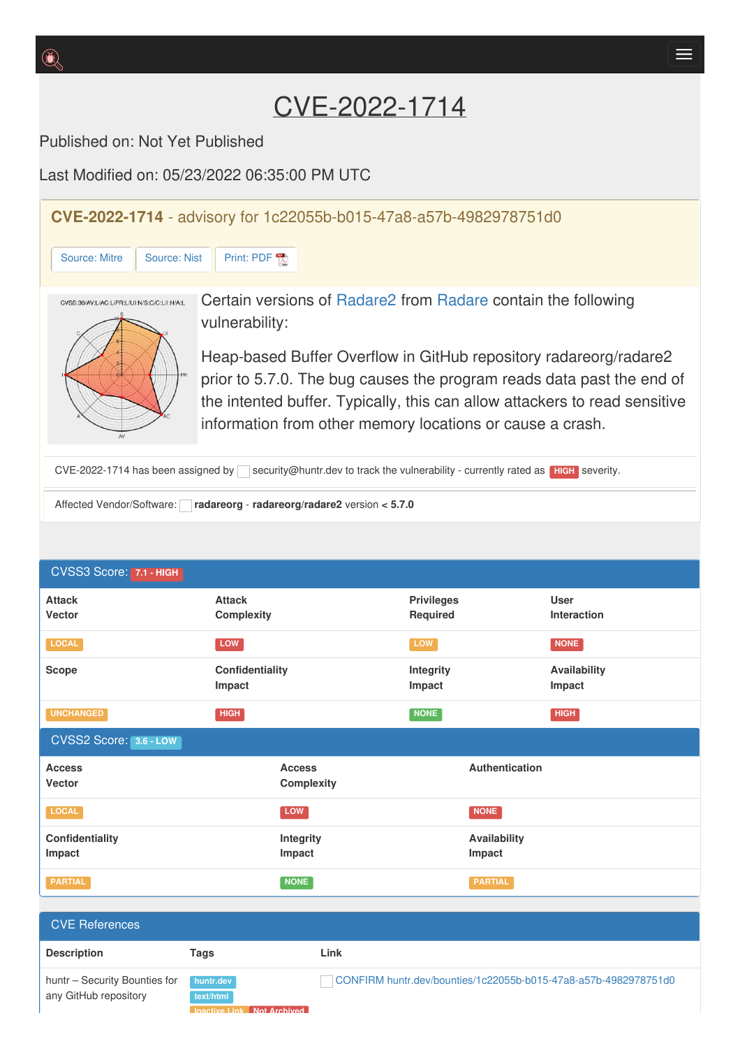Published on: Not Yet Published

Last Modified on: 05/23/2022 06:35:00 PM UTC

**CVE-2022-1714** - advisory for 1c22055b-b015-47a8-a57b-4982978751d0

[Source:](https://cve.report/CVE-2022-1714/nist) Mitre Source: Nist [Print:](https://cve.report/CVE-2022-1714.pdf) PDF



Certain versions of [Radare2](http://cve.report/software/radare/radare2) from [Radare](http://cve.report/vendor/radare) contain the following vulnerability:

Heap-based Buffer Overflow in GitHub repository radareorg/radare2 prior to 5.7.0. The bug causes the program reads data past the end of the intented buffer. Typically, this can allow attackers to read sensitive information from other memory locations or cause a crash.

CVE-2022-1714 has been assigned by security@huntr.dev to track the vulnerability - currently rated as **HIGH** severity.

Affected Vendor/Software: **radareorg** - **radareorg/radare2** version **< 5.7.0**

| CVSS3 Score: 7.1 - HIGH        |                                    |                               |                                   |
|--------------------------------|------------------------------------|-------------------------------|-----------------------------------|
| <b>Attack</b><br><b>Vector</b> | <b>Attack</b><br>Complexity        | <b>Privileges</b><br>Required | <b>User</b><br><b>Interaction</b> |
| <b>LOCAL</b>                   | LOW                                | LOW                           | <b>NONE</b>                       |
| <b>Scope</b>                   | Confidentiality<br>Impact          | <b>Integrity</b><br>Impact    | Availability<br>Impact            |
| <b>UNCHANGED</b>               | <b>HIGH</b>                        | NONE                          | <b>HIGH</b>                       |
| CVSS2 Score: 3.6 - LOW         |                                    |                               |                                   |
| <b>Access</b><br><b>Vector</b> | <b>Access</b><br><b>Complexity</b> | Authentication                |                                   |
| LOCAL                          | LOW                                | <b>NONE</b>                   |                                   |
| Confidentiality<br>Impact      | Integrity<br>Impact                | Availability<br>Impact        |                                   |
| <b>PARTIAL</b>                 | <b>NONE</b>                        | <b>PARTIAL</b>                |                                   |

| <b>CVE References</b>                                  |                                                             |                                                                 |
|--------------------------------------------------------|-------------------------------------------------------------|-----------------------------------------------------------------|
| <b>Description</b>                                     | Tags                                                        | Link                                                            |
| huntr - Security Bounties for<br>any GitHub repository | huntr.dev<br>text/html<br><b>Inactive Link Not Archived</b> | CONFIRM huntr.dev/bounties/1c22055b-b015-47a8-a57b-4982978751d0 |